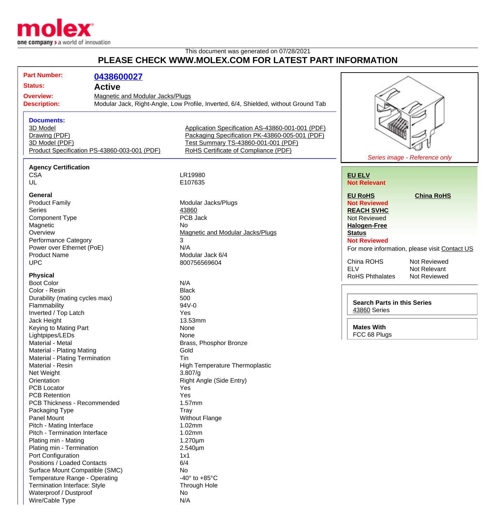

## This document was generated on 07/28/2021 **PLEASE CHECK WWW.MOLEX.COM FOR LATEST PART INFORMATION**

|                                              | <b>Part Number:</b>                                                      |                                         |                                                                                     |                                    |                                               |
|----------------------------------------------|--------------------------------------------------------------------------|-----------------------------------------|-------------------------------------------------------------------------------------|------------------------------------|-----------------------------------------------|
|                                              |                                                                          | 0438600027                              |                                                                                     |                                    |                                               |
| <b>Status:</b><br><b>Active</b>              |                                                                          |                                         |                                                                                     |                                    |                                               |
| <b>Overview:</b>                             |                                                                          | <b>Magnetic and Modular Jacks/Plugs</b> |                                                                                     |                                    |                                               |
|                                              | <b>Description:</b>                                                      |                                         | Modular Jack, Right-Angle, Low Profile, Inverted, 6/4, Shielded, without Ground Tab |                                    |                                               |
|                                              |                                                                          |                                         |                                                                                     |                                    |                                               |
|                                              |                                                                          |                                         |                                                                                     |                                    |                                               |
|                                              | <b>Documents:</b>                                                        |                                         |                                                                                     |                                    |                                               |
|                                              | 3D Model                                                                 |                                         | Application Specification AS-43860-001-001 (PDF)                                    |                                    |                                               |
|                                              | Drawing (PDF)                                                            |                                         | Packaging Specification PK-43860-005-001 (PDF)                                      |                                    |                                               |
|                                              | 3D Model (PDF)                                                           |                                         | Test Summary TS-43860-001-001 (PDF)                                                 |                                    |                                               |
| Product Specification PS-43860-003-001 (PDF) |                                                                          |                                         | RoHS Certificate of Compliance (PDF)                                                |                                    |                                               |
|                                              |                                                                          |                                         |                                                                                     | Series image - Reference only      |                                               |
|                                              | <b>Agency Certification</b>                                              |                                         |                                                                                     |                                    |                                               |
|                                              | <b>CSA</b>                                                               |                                         | LR19980                                                                             | <b>EU ELV</b>                      |                                               |
|                                              | UL                                                                       |                                         | E107635                                                                             | <b>Not Relevant</b>                |                                               |
|                                              |                                                                          |                                         |                                                                                     |                                    |                                               |
|                                              | General                                                                  |                                         |                                                                                     | <b>EU RoHS</b>                     | <b>China RoHS</b>                             |
|                                              | <b>Product Family</b>                                                    |                                         | Modular Jacks/Plugs                                                                 | <b>Not Reviewed</b>                |                                               |
|                                              | <b>Series</b>                                                            |                                         | 43860                                                                               | <b>REACH SVHC</b>                  |                                               |
|                                              | <b>Component Type</b>                                                    |                                         | PCB Jack                                                                            | Not Reviewed                       |                                               |
|                                              | Magnetic                                                                 |                                         | No.                                                                                 | <b>Halogen-Free</b>                |                                               |
|                                              | Overview                                                                 |                                         | <b>Magnetic and Modular Jacks/Plugs</b>                                             | <b>Status</b>                      |                                               |
|                                              | <b>Performance Category</b>                                              |                                         | 3                                                                                   | <b>Not Reviewed</b>                |                                               |
|                                              | Power over Ethernet (PoE)                                                |                                         | N/A                                                                                 |                                    | For more information, please visit Contact US |
|                                              | <b>Product Name</b>                                                      |                                         | Modular Jack 6/4                                                                    |                                    |                                               |
|                                              | <b>UPC</b>                                                               |                                         | 800756569604                                                                        | China ROHS                         | Not Reviewed                                  |
|                                              |                                                                          |                                         |                                                                                     | <b>ELV</b>                         | Not Relevant                                  |
|                                              | <b>Physical</b>                                                          |                                         |                                                                                     | <b>RoHS Phthalates</b>             | Not Reviewed                                  |
|                                              | <b>Boot Color</b>                                                        |                                         | N/A                                                                                 |                                    |                                               |
|                                              | Color - Resin                                                            |                                         | <b>Black</b>                                                                        |                                    |                                               |
|                                              | Durability (mating cycles max)                                           |                                         | 500                                                                                 |                                    |                                               |
|                                              | Flammability                                                             |                                         | 94V-0                                                                               | <b>Search Parts in this Series</b> |                                               |
|                                              | Inverted / Top Latch                                                     |                                         | Yes                                                                                 | <b>43860 Series</b>                |                                               |
|                                              | Jack Height                                                              |                                         | 13.53mm                                                                             |                                    |                                               |
|                                              | Keying to Mating Part                                                    |                                         | None                                                                                | <b>Mates With</b>                  |                                               |
|                                              | Lightpipes/LEDs                                                          |                                         | None                                                                                | FCC 68 Plugs                       |                                               |
|                                              | Material - Metal                                                         |                                         | Brass, Phosphor Bronze                                                              |                                    |                                               |
|                                              | Material - Plating Mating                                                |                                         |                                                                                     |                                    |                                               |
|                                              |                                                                          |                                         | Gold                                                                                |                                    |                                               |
|                                              | Material - Plating Termination<br>Material - Resin                       |                                         | Tin                                                                                 |                                    |                                               |
|                                              |                                                                          |                                         | <b>High Temperature Thermoplastic</b>                                               |                                    |                                               |
|                                              | Net Weight                                                               |                                         | 3.807/q                                                                             |                                    |                                               |
|                                              | Orientation                                                              |                                         | Right Angle (Side Entry)                                                            |                                    |                                               |
|                                              | <b>PCB Locator</b>                                                       |                                         | Yes                                                                                 |                                    |                                               |
|                                              | <b>PCB Retention</b>                                                     |                                         | Yes                                                                                 |                                    |                                               |
|                                              | PCB Thickness - Recommended                                              |                                         | 1.57mm                                                                              |                                    |                                               |
|                                              | Packaging Type                                                           |                                         | Tray                                                                                |                                    |                                               |
|                                              | Panel Mount<br>Pitch - Mating Interface<br>Pitch - Termination Interface |                                         | <b>Without Flange</b>                                                               |                                    |                                               |
|                                              |                                                                          |                                         | 1.02mm                                                                              |                                    |                                               |
|                                              |                                                                          |                                         | 1.02mm                                                                              |                                    |                                               |
|                                              | Plating min - Mating                                                     |                                         | $1.270 \mu m$                                                                       |                                    |                                               |
|                                              | Plating min - Termination                                                |                                         | 2.540µm                                                                             |                                    |                                               |
|                                              | Port Configuration                                                       |                                         | 1x1                                                                                 |                                    |                                               |
|                                              | Positions / Loaded Contacts                                              |                                         | 6/4                                                                                 |                                    |                                               |
|                                              | Surface Mount Compatible (SMC)                                           |                                         | No.                                                                                 |                                    |                                               |
|                                              | Temperature Range - Operating                                            |                                         | -40 $\degree$ to +85 $\degree$ C                                                    |                                    |                                               |
|                                              | Termination Interface: Style                                             |                                         | Through Hole                                                                        |                                    |                                               |
|                                              | Waterproof / Dustproof                                                   |                                         | No                                                                                  |                                    |                                               |
|                                              | Wire/Cable Type                                                          |                                         | N/A                                                                                 |                                    |                                               |
|                                              |                                                                          |                                         |                                                                                     |                                    |                                               |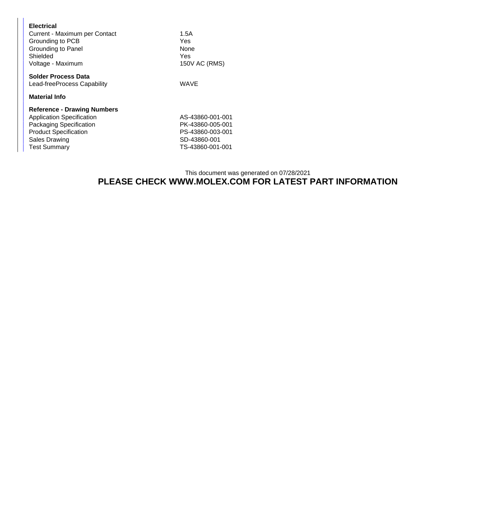| <b>Electrical</b><br>Current - Maximum per Contact<br>Grounding to PCB<br>Grounding to Panel<br>Shielded<br>Voltage - Maximum                                                    | 1.5A<br>Yes<br>None<br>Yes<br>150V AC (RMS)                                                  |
|----------------------------------------------------------------------------------------------------------------------------------------------------------------------------------|----------------------------------------------------------------------------------------------|
| <b>Solder Process Data</b><br>Lead-freeProcess Capability<br>Material Info                                                                                                       | WAVE                                                                                         |
| <b>Reference - Drawing Numbers</b><br><b>Application Specification</b><br>Packaging Specification<br><b>Product Specification</b><br><b>Sales Drawing</b><br><b>Test Summary</b> | AS-43860-001-001<br>PK-43860-005-001<br>PS-43860-003-001<br>SD-43860-001<br>TS-43860-001-001 |

## This document was generated on 07/28/2021 **PLEASE CHECK WWW.MOLEX.COM FOR LATEST PART INFORMATION**